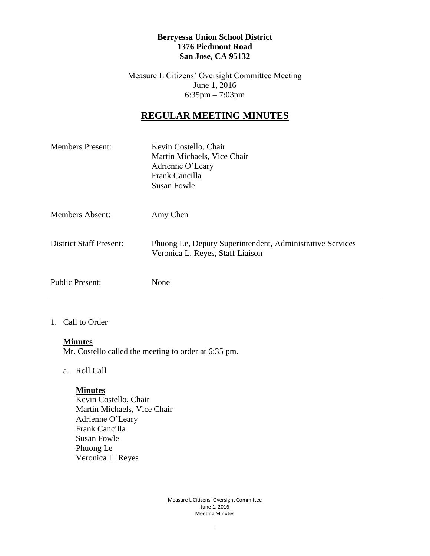#### **Berryessa Union School District 1376 Piedmont Road San Jose, CA 95132**

Measure L Citizens' Oversight Committee Meeting June 1, 2016 6:35pm – 7:03pm

# **REGULAR MEETING MINUTES**

| <b>Members Present:</b>        | Kevin Costello, Chair<br>Martin Michaels, Vice Chair<br>Adrienne O'Leary<br>Frank Cancilla<br><b>Susan Fowle</b> |
|--------------------------------|------------------------------------------------------------------------------------------------------------------|
| <b>Members Absent:</b>         | Amy Chen                                                                                                         |
| <b>District Staff Present:</b> | Phuong Le, Deputy Superintendent, Administrative Services<br>Veronica L. Reyes, Staff Liaison                    |
| <b>Public Present:</b>         | None                                                                                                             |

#### 1. Call to Order

#### **Minutes**

Mr. Costello called the meeting to order at 6:35 pm.

a. Roll Call

#### **Minutes**

Kevin Costello, Chair Martin Michaels, Vice Chair Adrienne O'Leary Frank Cancilla Susan Fowle Phuong Le Veronica L. Reyes

> Measure L Citizens' Oversight Committee June 1, 2016 Meeting Minutes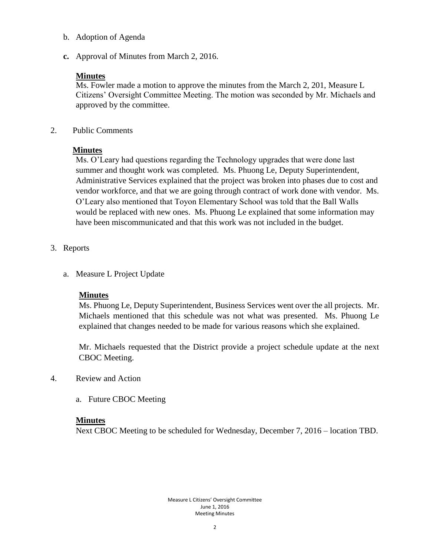- b. Adoption of Agenda
- **c.** Approval of Minutes from March 2, 2016.

### **Minutes**

Ms. Fowler made a motion to approve the minutes from the March 2, 201, Measure L Citizens' Oversight Committee Meeting. The motion was seconded by Mr. Michaels and approved by the committee.

2. Public Comments

## **Minutes**

Ms. O'Leary had questions regarding the Technology upgrades that were done last summer and thought work was completed. Ms. Phuong Le, Deputy Superintendent, Administrative Services explained that the project was broken into phases due to cost and vendor workforce, and that we are going through contract of work done with vendor. Ms. O'Leary also mentioned that Toyon Elementary School was told that the Ball Walls would be replaced with new ones. Ms. Phuong Le explained that some information may have been miscommunicated and that this work was not included in the budget.

- 3. Reports
	- a. Measure L Project Update

### **Minutes**

Ms. Phuong Le, Deputy Superintendent, Business Services went over the all projects. Mr. Michaels mentioned that this schedule was not what was presented. Ms. Phuong Le explained that changes needed to be made for various reasons which she explained.

Mr. Michaels requested that the District provide a project schedule update at the next CBOC Meeting.

- 4. Review and Action
	- a. Future CBOC Meeting

## **Minutes**

Next CBOC Meeting to be scheduled for Wednesday, December 7, 2016 – location TBD.

Measure L Citizens' Oversight Committee June 1, 2016 Meeting Minutes